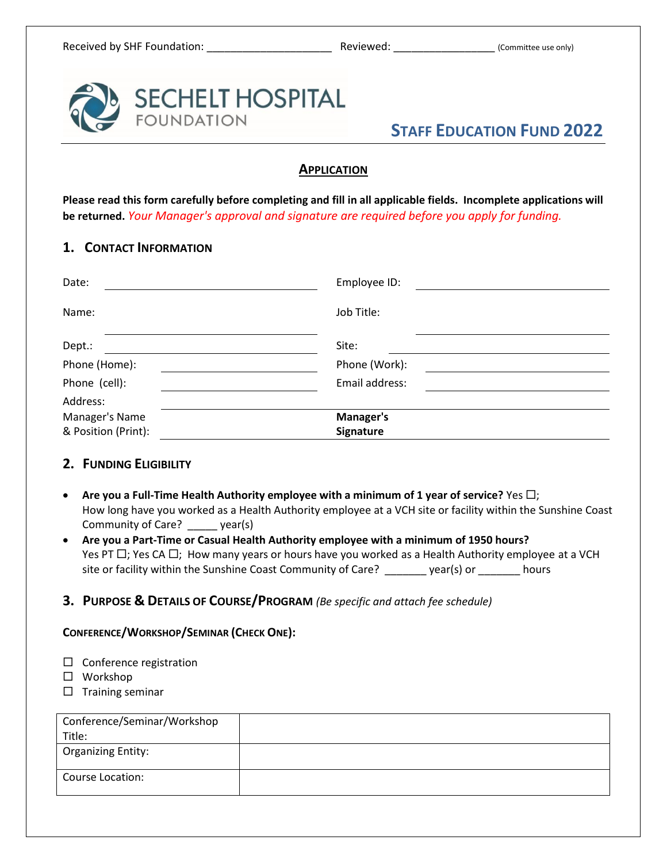

## **APPLICATION**

**Please read this form carefully before completing and fill in all applicable fields. Incomplete applications will be returned.** *Your Manager's approval and signature are required before you apply for funding.*

## **1. CONTACT INFORMATION**

| Date:               | Employee ID:   |  |
|---------------------|----------------|--|
| Name:               | Job Title:     |  |
| Dept.:              | Site:          |  |
| Phone (Home):       | Phone (Work):  |  |
| Phone (cell):       | Email address: |  |
| Address:            |                |  |
| Manager's Name      | Manager's      |  |
| & Position (Print): | Signature      |  |

### **2. FUNDING ELIGIBILITY**

- **Are you a Full-Time Health Authority employee with a minimum of 1 year of service?** Yes  $\Box$ ; How long have you worked as a Health Authority employee at a VCH site or facility within the Sunshine Coast Community of Care? \_\_\_\_\_ year(s)
- **Are you a Part-Time or Casual Health Authority employee with a minimum of 1950 hours?** Yes PT  $\Box$ ; Yes CA  $\Box$ ; How many years or hours have you worked as a Health Authority employee at a VCH site or facility within the Sunshine Coast Community of Care? \_\_\_\_\_\_\_ year(s) or \_\_\_\_\_\_\_ hours

### **3. PURPOSE & DETAILS OF COURSE/PROGRAM** *(Be specific and attach fee schedule)*

#### **CONFERENCE/WORKSHOP/SEMINAR (CHECK ONE):**

- $\square$  Conference registration
- □ Workshop
- $\square$  Training seminar

| Conference/Seminar/Workshop |  |
|-----------------------------|--|
| Title:                      |  |
| <b>Organizing Entity:</b>   |  |
| Course Location:            |  |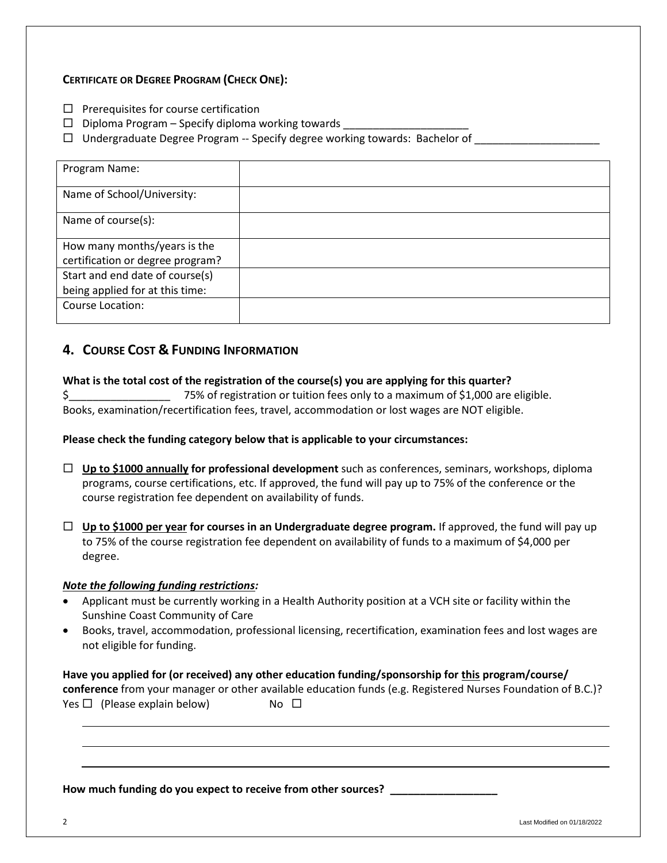#### **CERTIFICATE OR DEGREE PROGRAM (CHECK ONE):**

- $\square$  Prerequisites for course certification
- $\Box$  Diploma Program Specify diploma working towards
- $\Box$  Undergraduate Degree Program -- Specify degree working towards: Bachelor of

| Program Name:                    |  |
|----------------------------------|--|
| Name of School/University:       |  |
| Name of course(s):               |  |
| How many months/years is the     |  |
| certification or degree program? |  |
| Start and end date of course(s)  |  |
| being applied for at this time:  |  |
| Course Location:                 |  |

## **4. COURSE COST & FUNDING INFORMATION**

**What is the total cost of the registration of the course(s) you are applying for this quarter?** \$ 75% of registration or tuition fees only to a maximum of \$1,000 are eligible. Books, examination/recertification fees, travel, accommodation or lost wages are NOT eligible.

**Please check the funding category below that is applicable to your circumstances:**

- **Up to \$1000 annually for professional development** such as conferences, seminars, workshops, diploma programs, course certifications, etc. If approved, the fund will pay up to 75% of the conference or the course registration fee dependent on availability of funds.
- **Up to \$1000 per year for courses in an Undergraduate degree program.** If approved, the fund will pay up to 75% of the course registration fee dependent on availability of funds to a maximum of \$4,000 per degree.

#### *Note the following funding restrictions:*

- Applicant must be currently working in a Health Authority position at a VCH site or facility within the Sunshine Coast Community of Care
- Books, travel, accommodation, professional licensing, recertification, examination fees and lost wages are not eligible for funding.

| Have you applied for (or received) any other education funding/sponsorship for this program/course/ |           |                                                                                                              |  |
|-----------------------------------------------------------------------------------------------------|-----------|--------------------------------------------------------------------------------------------------------------|--|
|                                                                                                     |           | conference from your manager or other available education funds (e.g. Registered Nurses Foundation of B.C.)? |  |
| Yes $\Box$ (Please explain below)                                                                   | No $\Box$ |                                                                                                              |  |

**How much funding do you expect to receive from other sources? \_\_\_\_\_\_\_\_\_\_\_\_\_\_\_\_\_\_**